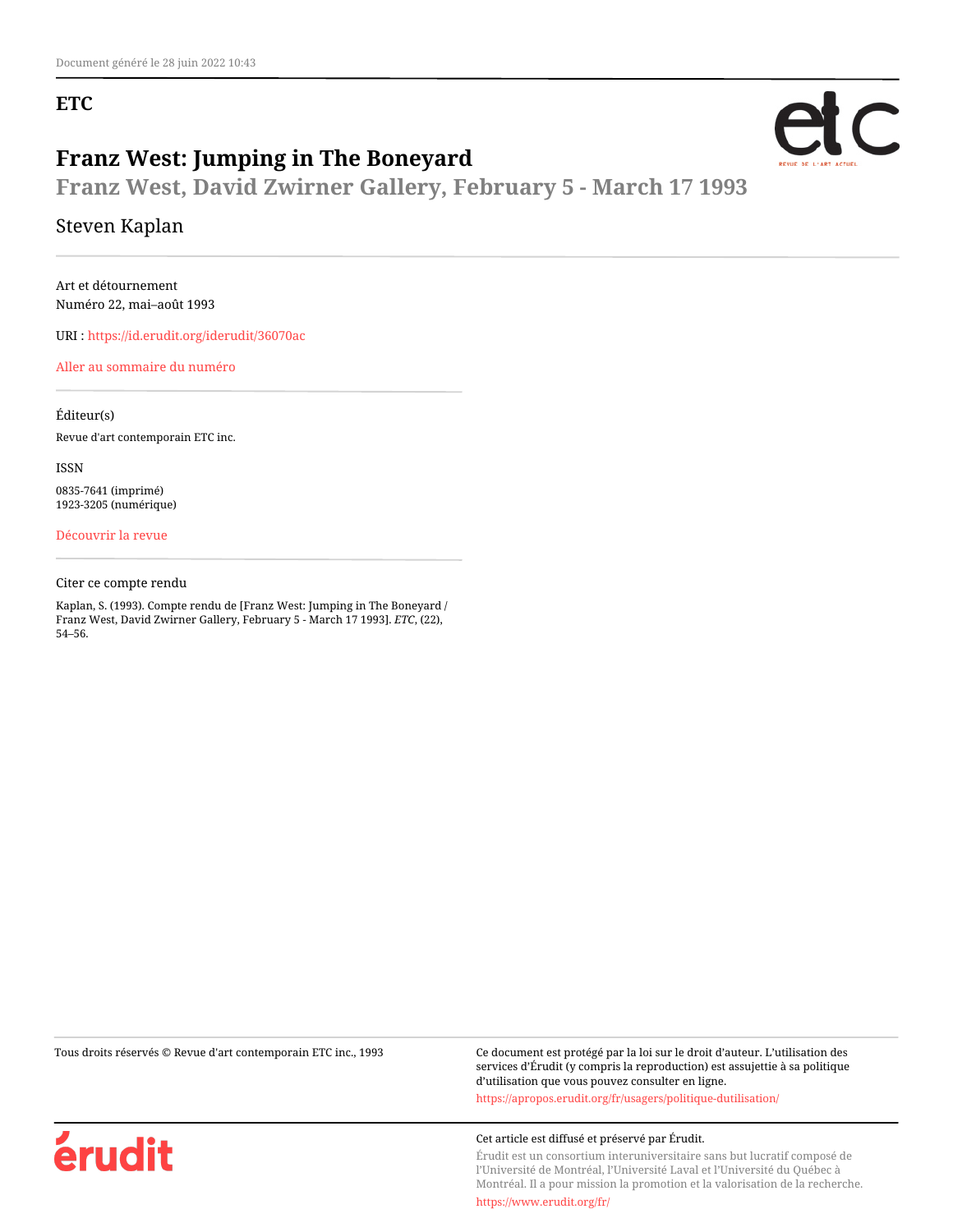## **ETC**



**Franz West, David Zwirner Gallery, February 5 - March 17 1993**

### Steven Kaplan

Art et détournement Numéro 22, mai–août 1993

URI :<https://id.erudit.org/iderudit/36070ac>

[Aller au sommaire du numéro](https://www.erudit.org/fr/revues/etc/1993-n22-etc1088387/)

Éditeur(s) Revue d'art contemporain ETC inc.

ISSN 0835-7641 (imprimé) 1923-3205 (numérique)

[Découvrir la revue](https://www.erudit.org/fr/revues/etc/)

Citer ce compte rendu

Kaplan, S. (1993). Compte rendu de [Franz West: Jumping in The Boneyard / Franz West, David Zwirner Gallery, February 5 - March 17 1993]. *ETC*, (22), 54–56.

Tous droits réservés © Revue d'art contemporain ETC inc., 1993 Ce document est protégé par la loi sur le droit d'auteur. L'utilisation des services d'Érudit (y compris la reproduction) est assujettie à sa politique d'utilisation que vous pouvez consulter en ligne. <https://apropos.erudit.org/fr/usagers/politique-dutilisation/>

#### Cet article est diffusé et préservé par Érudit.

Érudit est un consortium interuniversitaire sans but lucratif composé de l'Université de Montréal, l'Université Laval et l'Université du Québec à Montréal. Il a pour mission la promotion et la valorisation de la recherche.

<https://www.erudit.org/fr/>



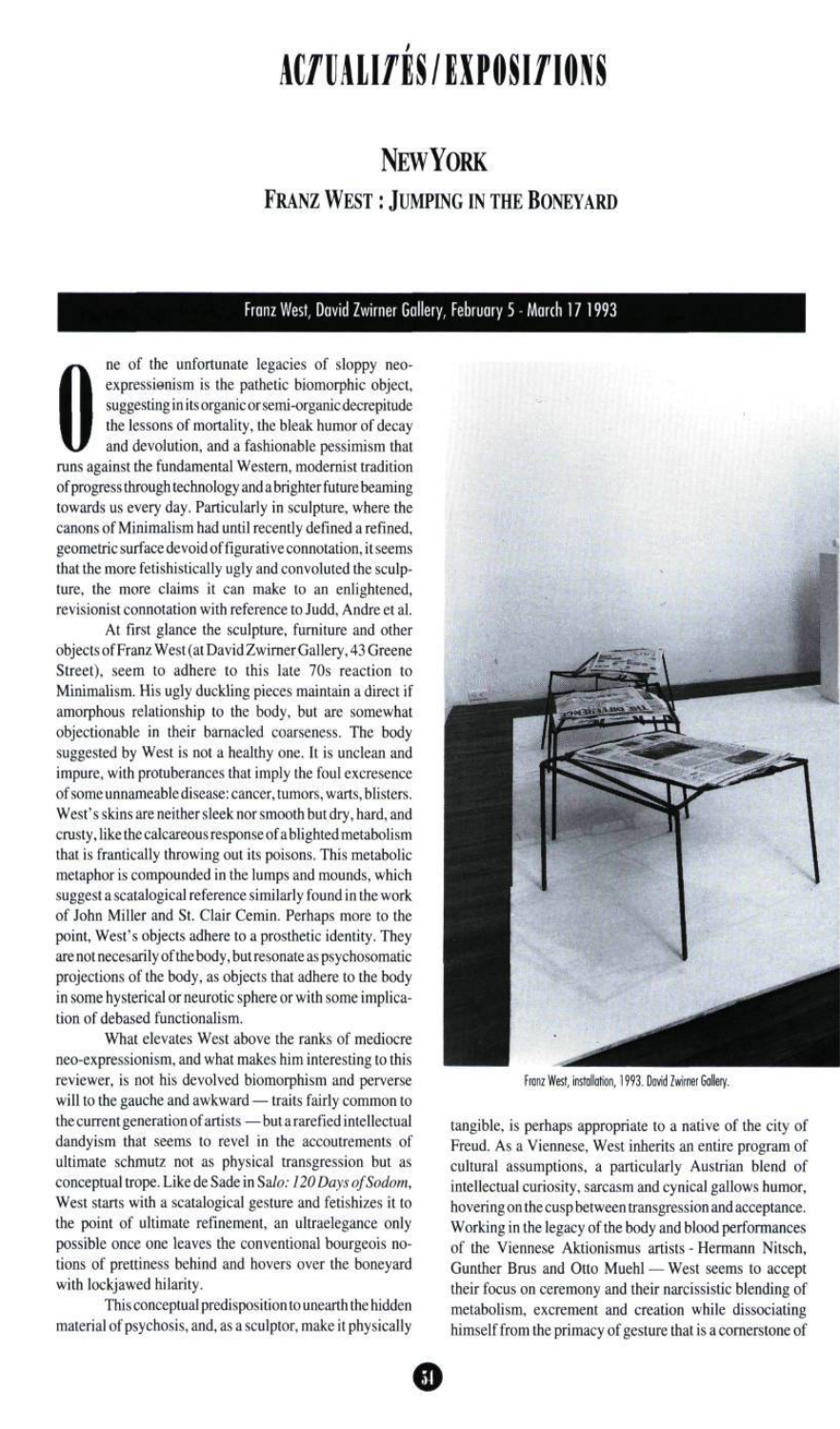# ACZUALIZÉS/EXPOSIZIONS

# NEWYORK FRANZ WEST : JUMPING IN THE BONEYARD

### Franz West, David Zwirner Gallery, February 5 - March 17 1993

the lessons of mortality, the bleak humor of decay<br>and devolution, and a fashionable pessimism that ne of the unfortunate legacies of sloppy neoexpressienism is the pathetic biomorphic object, suggesting in its organic or semi-organic decrepitude and devolution, and a fashionable pessimism that runs against the fundamental Western, modernist tradition of progress through technology and a brighter future beaming towards us every day. Particularly in sculpture, where the canons of Minimalism had until recently defined a refined, geometric surface devoid of figurative connotation, it seems that the more fetishistically ugly and convoluted the sculpture, the more claims it can make to an enlightened, revisionist connotation with reference to Judd, Andre et al.

At first glance the sculpture, furniture and other objects of Franz West (at David Zwirner Gallery, 43 Greene Street), seem to adhere to this late 70s reaction to Minimalism. His ugly duckling pieces maintain a direct if amorphous relationship to the body, but are somewhat objectionable in their barnacled coarseness. The body suggested by West is not a healthy one. It is unclean and impure, with protuberances that imply the foul excresence of some unnameable disease: cancer, tumors, warts, blisters. West's skins are neither sleek nor smooth but dry, hard, and crusty, like the calcareous response of a blighted metabolism that is frantically throwing out its poisons. This metabolic metaphor is compounded in the lumps and mounds, which suggest a scatalogical reference similarly found in the work of John Miller and St. Clair Cemin. Perhaps more to the point, West's objects adhere to a prosthetic identity. They are not necesarily of the body, but resonate as psychosomatic projections of the body, as objects that adhere to the body in some hysterical or neurotic sphere or with some implication of debased functionalism.

What elevates West above the ranks of mediocre neo-expressionism, and what makes him interesting to this reviewer, is not his devolved biomorphism and perverse will to the gauche and awkward — traits fairly common to the current generation of artists —but a rarefied intellectual dandyism that seems to revel in the accoutrements of ultimate schmutz not as physical transgression but as conceptual trope. Like de Sade in Salo: 120 Days of Sodom, West starts with a scatalogical gesture and fetishizes it to the point of ultimate refinement, an ultraelegance only possible once one leaves the conventional bourgeois notions of prettiness behind and hovers over the boneyard with lockjawed hilarity.

This conceptual predisposition to unearth the hidden material of psychosis, and, as a sculptor, make it physically



Franz West, installation, 1993. David Zwirner Gallery.

tangible, is perhaps appropriate to a native of the city of Freud. As a Viennese, West inherits an entire program of cultural assumptions, a particularly Austrian blend of intellectual curiosity, sarcasm and cynical gallows humor, hovering on the cusp between transgression and acceptance. Working in the legacy of the body and blood performances of the Viennese Aktionismus artists - Hermann Nitsch, Gunther Brus and Otto Muehl — West seems to accept their focus on ceremony and their narcissistic blending of metabolism, excrement and creation while dissociating himself from the primacy of gesture that is a cornerstone of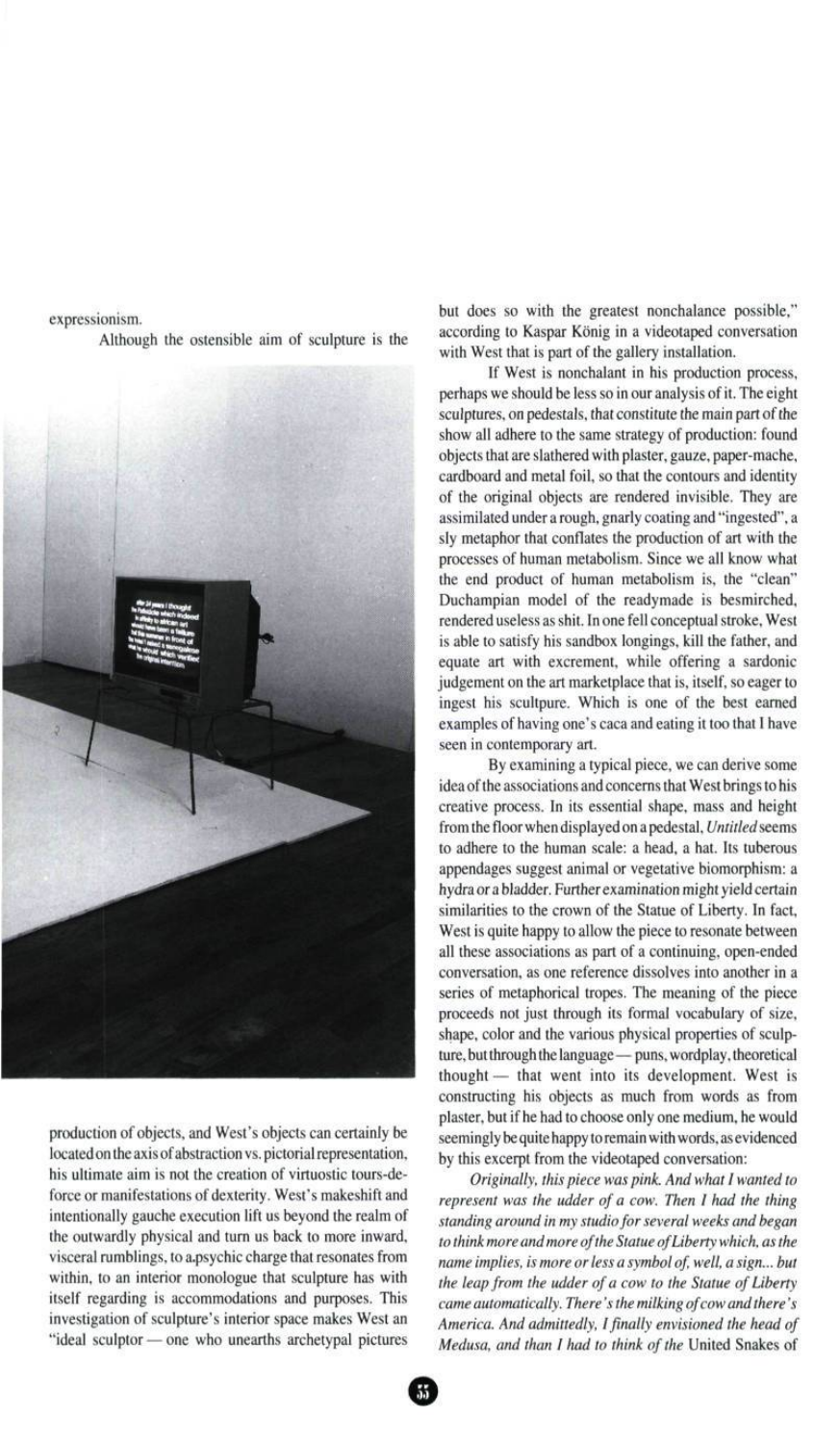expressionism. Although the ostensible aim of sculpture is the



production of objects, and West's objects can certainly be located on the axis of abstraction vs. pictorial representation, his ultimate aim is not the creation of virtuostic tours-deforce or manifestations of dexterity. West's makeshift and intentionally gauche execution lift us beyond the realm of the outwardly physical and turn us back to more inward, visceral rumblings, to a.psychic charge that resonates from within, to an interior monologue that sculpture has with itself regarding is accommodations and purposes. This investigation of sculpture's interior space makes West an "ideal sculptor — one who unearths archetypal pictures but does so with the greatest nonchalance possible," according to Kaspar Kônig in a videotaped conversation with West that is part of the gallery installation.

If West is nonchalant in his production process, perhaps we should be less so in our analysis of it. The eight sculptures, on pedestals, that constitute the main part of the show all adhere to the same strategy of production: found objects that are slathered with plaster, gauze, paper-mache, cardboard and metal foil, so that the contours and identity of the original objects are rendered invisible. They are assimilated under a rough, gnarly coating and "ingested", a sly metaphor that conflates the production of art with the processes of human metabolism. Since we all know what the end product of human metabolism is, the "clean" Duchampian model of the readymade is besmirched, rendered useless as shit. In one fell conceptual stroke, West is able to satisfy his sandbox longings, kill the father, and equate art with excrement, while offering a sardonic judgement on the art marketplace that is, itself, so eager to ingest his scultpure. Which is one of the best earned examples of having one's caca and eating it too that I have seen in contemporary art.

By examining a typical piece, we can derive some idea of the associations and concerns that West brings to his creative process. In its essential shape, mass and height from the floor when displayed on a pedestal, Untitled seems to adhere to the human scale: a head, a hat. Its tuberous appendages suggest animal or vegetative biomorphism: a hydra or a bladder. Further examination might yield certain similarities to the crown of the Statue of Liberty. In fact, West is quite happy to allow the piece to resonate between all these associations as part of a continuing, open-ended conversation, as one reference dissolves into another in a series of metaphorical tropes. The meaning of the piece proceeds not just through its formal vocabulary of size, shape, color and the various physical properties of sculpture, but through the language— puns, wordplay, theoretical thought — that went into its development. West is constructing his objects as much from words as from plaster, but if he had to choose only one medium, he would seemingly be quite happy to remain with words, as evidenced by this excerpt from the videotaped conversation:

Originally, this piece was pink. And what I wanted to represent was the udder of a cow. Then I had the thing standing around in my studio for several weeks and began to think more and more of the Statue of Liberty which, as the name implies, is more or less a symbol of, well, a sign... but the leap from the udder of a cow to the Statue of Liberty came automatically. There's the milking of cow and there's America. And admittedly, I finally envisioned the head of Medusa, and than I had to think of the United Snakes of